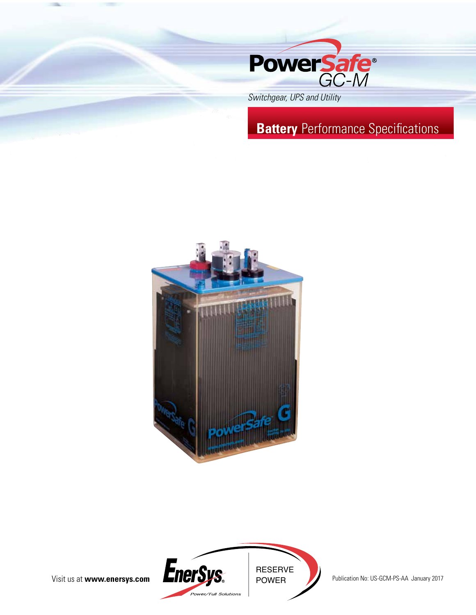



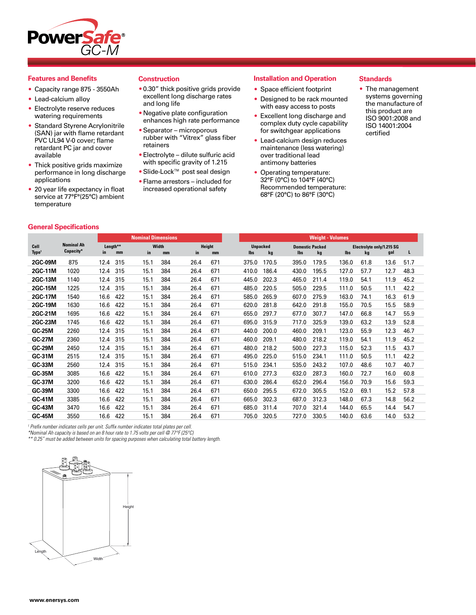

### **Features and Benefits**

- Capacity range 875 3550Ah
- Lead-calcium alloy
- Electrolyte reserve reduces watering requirements
- Standard Styrene Acrylonitrile (SAN) jar with flame retardant PVC UL94 V-0 cover; flame retardant PC jar and cover available
- Thick positive grids maximize performance in long discharge applications
- 20 year life expectancy in float service at 77°F°(25°C) ambient temperature

**General Specifications**

#### **Construction**

- •0.30" thick positive grids provide excellent long discharge rates and long life
- •Negative plate configuration enhances high rate performance
- •Separator microporous rubber with "Vitrex" glass fiber retainers
- •Electrolyte dilute sulfuric acid with specific gravity of 1.215
- •Slide-Lock™ post seal design
- •Flame arrestors included for increased operational safety

## **Installation and Operation**

- Space efficient footprint
- Designed to be rack mounted with easy access to posts
- Excellent long discharge and complex duty cycle capability for switchgear applications
- Lead-calcium design reduces maintenance (less watering) over traditional lead antimony batteries
- Operating temperature: 32°F (0°C) to 104°F (40°C) Recommended temperature: 68°F (20°C) to 86°F (30°C)

## **Standards**

• The management systems governing the manufacture of this product are ISO 9001:2008 and ISO 14001:2004 certified

|                                                                                                                                                                                                                                                                                                                                                                                                                                                              |                                |                       | <b>Nominal Dimensions</b> |                     |            |                       | <b>Weight - Volumes</b>       |       |            |                                 |      |      |
|--------------------------------------------------------------------------------------------------------------------------------------------------------------------------------------------------------------------------------------------------------------------------------------------------------------------------------------------------------------------------------------------------------------------------------------------------------------|--------------------------------|-----------------------|---------------------------|---------------------|------------|-----------------------|-------------------------------|-------|------------|---------------------------------|------|------|
| Cell<br>Type <sup>1</sup>                                                                                                                                                                                                                                                                                                                                                                                                                                    | <b>Nominal Ah</b><br>Capacity* | Length**<br>in.<br>mm | Width<br>in<br>mm         | Height<br>in.<br>mm | <b>lbs</b> | <b>Unpacked</b><br>kg | <b>Domestic Packed</b><br>lbs | kg    | <b>lbs</b> | Electrolyte only/1.215 SG<br>kg | gal  |      |
| <b>2GC-09M</b>                                                                                                                                                                                                                                                                                                                                                                                                                                               | 875                            | 12.4<br>315           | 15.1<br>384               | 671<br>26.4         | 375.0      | 170.5                 | 395.0                         | 179.5 | 136.0      | 61.8                            | 13.6 | 51.7 |
| 2GC-11M                                                                                                                                                                                                                                                                                                                                                                                                                                                      | 1020                           | 12.4<br>315           | 15.1<br>384               | 26.4<br>671         | 410.0      | 186.4                 | 430.0                         | 195.5 | 127.0      | 57.7                            | 12.7 | 48.3 |
| 2GC-13M                                                                                                                                                                                                                                                                                                                                                                                                                                                      | 1140                           | 12.4<br>315           | 384<br>15.1               | 671<br>26.4         | 445.0      | 202.3                 | 465.0                         | 211.4 | 119.0      | 54.1                            | 11.9 | 45.2 |
| <b>2GC-15M</b>                                                                                                                                                                                                                                                                                                                                                                                                                                               | 1225                           | 12.4<br>315           | 15.1<br>384               | 26.4<br>671         | 485.0      | 220.5                 | 505.0                         | 229.5 | 111.0      | 50.5                            | 11.1 | 42.2 |
| 2GC-17M                                                                                                                                                                                                                                                                                                                                                                                                                                                      | 1540                           | 16.6<br>422           | 15.1<br>384               | 26.4<br>671         | 585.0      | 265.9                 | 607.0                         | 275.9 | 163.0      | 74.1                            | 16.3 | 61.9 |
| 2GC-19M                                                                                                                                                                                                                                                                                                                                                                                                                                                      | 1630                           | 16.6<br>422           | 15.1<br>384               | 26.4<br>671         | 620.0      | 281.8                 | 642.0                         | 291.8 | 155.0      | 70.5                            | 15.5 | 58.9 |
| 2GC-21M                                                                                                                                                                                                                                                                                                                                                                                                                                                      | 1695                           | 16.6<br>422           | 15.1<br>384               | 26.4<br>671         | 655.0      | 297.7                 | 677.0                         | 307.7 | 147.0      | 66.8                            | 14.7 | 55.9 |
| 2GC-23M                                                                                                                                                                                                                                                                                                                                                                                                                                                      | 1745                           | 16.6<br>422           | 15.1<br>384               | 671<br>26.4         | 695.0      | 315.9                 | 717.0                         | 325.9 | 139.0      | 63.2                            | 13.9 | 52.8 |
| <b>GC-25M</b>                                                                                                                                                                                                                                                                                                                                                                                                                                                | 2260                           | 12.4<br>315           | 384<br>15.1               | 671<br>26.4         | 440.0      | 200.0                 | 460.0                         | 209.1 | 123.0      | 55.9                            | 12.3 | 46.7 |
| <b>GC-27M</b>                                                                                                                                                                                                                                                                                                                                                                                                                                                | 2360                           | 12.4<br>315           | 15.1<br>384               | 671<br>26.4         | 460.0      | 209.1                 | 480.0                         | 218.2 | 119.0      | 54.1                            | 11.9 | 45.2 |
| <b>GC-29M</b>                                                                                                                                                                                                                                                                                                                                                                                                                                                | 2450                           | 12.4<br>315           | 15.1<br>384               | 671<br>26.4         | 480.0      | 218.2                 | 500.0                         | 227.3 | 115.0      | 52.3                            | 11.5 | 43.7 |
| <b>GC-31M</b>                                                                                                                                                                                                                                                                                                                                                                                                                                                | 2515                           | 12.4<br>315           | 15.1<br>384               | 671<br>26.4         | 495.0      | 225.0                 | 515.0                         | 234.1 | 111.0      | 50.5                            | 11.1 | 42.2 |
| <b>GC-33M</b>                                                                                                                                                                                                                                                                                                                                                                                                                                                | 2560                           | 12.4<br>315           | 384<br>15.1               | 26.4<br>671         | 515.0      | 234.1                 | 535.0                         | 243.2 | 107.0      | 48.6                            | 10.7 | 40.7 |
| <b>GC-35M</b>                                                                                                                                                                                                                                                                                                                                                                                                                                                | 3085                           | 16.6<br>422           | 15.1<br>384               | 26.4<br>671         | 610.0      | 277.3                 | 632.0                         | 287.3 | 160.0      | 72.7                            | 16.0 | 60.8 |
| <b>GC-37M</b>                                                                                                                                                                                                                                                                                                                                                                                                                                                | 3200                           | 16.6<br>422           | 15.1<br>384               | 26.4<br>671         | 630.0      | 286.4                 | 652.0                         | 296.4 | 156.0      | 70.9                            | 15.6 | 59.3 |
| <b>GC-39M</b>                                                                                                                                                                                                                                                                                                                                                                                                                                                | 3300                           | 16.6<br>422           | 15.1<br>384               | 26.4<br>671         | 650.0      | 295.5                 | 672.0                         | 305.5 | 152.0      | 69.1                            | 15.2 | 57.8 |
| <b>GC-41M</b>                                                                                                                                                                                                                                                                                                                                                                                                                                                | 3385                           | 16.6<br>422           | 15.1<br>384               | 671<br>26.4         | 665.0      | 302.3                 | 687.0                         | 312.3 | 148.0      | 67.3                            | 14.8 | 56.2 |
| <b>GC-43M</b>                                                                                                                                                                                                                                                                                                                                                                                                                                                | 3470                           | 16.6<br>422           | 15.1<br>384               | 26.4<br>671         | 685.0      | 311.4                 | 707.0                         | 321.4 | 144.0      | 65.5                            | 14.4 | 54.7 |
| <b>GC-45M</b>                                                                                                                                                                                                                                                                                                                                                                                                                                                | 3550                           | 422<br>16.6           | 15.1<br>384               | 26.4<br>671         | 705.0      | 320.5                 | 727.0                         | 330.5 | 140.0      | 63.6                            | 14.0 | 53.2 |
| $\mathbf{r} \cdot \mathbf{r} = \mathbf{r} \cdot \mathbf{r} + \mathbf{r} \cdot \mathbf{r} = \mathbf{r} \cdot \mathbf{r} + \mathbf{r} \cdot \mathbf{r} + \mathbf{r} \cdot \mathbf{r} + \mathbf{r} \cdot \mathbf{r} + \mathbf{r} \cdot \mathbf{r} + \mathbf{r} \cdot \mathbf{r} + \mathbf{r} \cdot \mathbf{r} + \mathbf{r} \cdot \mathbf{r} + \mathbf{r} \cdot \mathbf{r} + \mathbf{r} \cdot \mathbf{r} + \mathbf{r} \cdot \mathbf{r} + \mathbf{r} \cdot \math$ |                                |                       |                           |                     |            |                       |                               |       |            |                                 |      |      |

*1 Prefix number indicates cells per unit. Suffix number indicates total plates per cell.*

*\*Nominal Ah capacity is based on an 8 hour rate to 1.75 volts per cell @ 77°F (25°C)*

*\*\* 0.25" must be added between units for spacing purposes when calculating total battery length.*

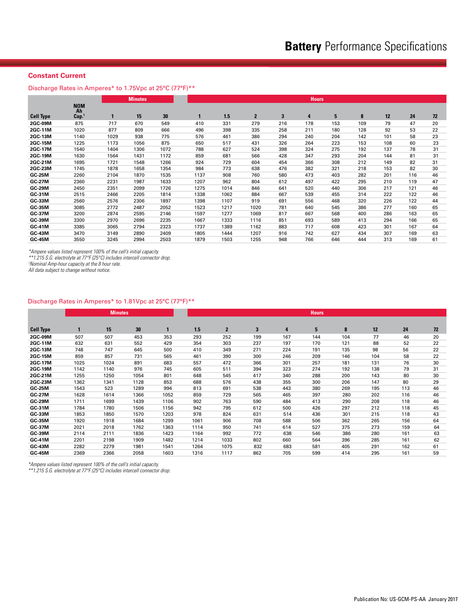# **Constant Current**

Discharge Rates in Amperes\* to 1.75Vpc at 25°C (77°F)\*\*

|                  |                                       |      | <b>Minutes</b> |      |      |      |              |                         | <b>Hours</b> |     |     |     |     |    |
|------------------|---------------------------------------|------|----------------|------|------|------|--------------|-------------------------|--------------|-----|-----|-----|-----|----|
| <b>Cell Type</b> | <b>NOM</b><br>Ah<br>Cap. <sup>1</sup> | 1    | 15             | 30   |      | 1.5  | $\mathbf{2}$ | $\overline{\mathbf{3}}$ | 4            | 5   | 8   | 12  | 24  | 72 |
| <b>2GC-09M</b>   | 875                                   | 717  | 670            | 549  | 410  | 331  | 279          | 216                     | 178          | 153 | 109 | 79  | 47  | 20 |
| 2GC-11M          | 1020                                  | 877  | 809            | 666  | 496  | 398  | 335          | 258                     | 211          | 180 | 128 | 92  | 53  | 22 |
| 2GC-13M          | 1140                                  | 1029 | 938            | 775  | 576  | 461  | 386          | 294                     | 240          | 204 | 142 | 101 | 58  | 23 |
| 2GC-15M          | 1225                                  | 1173 | 1056           | 875  | 650  | 517  | 431          | 326                     | 264          | 223 | 153 | 108 | 60  | 23 |
| 2GC-17M          | 1540                                  | 1404 | 1306           | 1072 | 788  | 627  | 524          | 398                     | 324          | 275 | 192 | 137 | 78  | 31 |
| 2GC-19M          | 1630                                  | 1564 | 1431           | 1172 | 859  | 681  | 566          | 428                     | 347          | 293 | 204 | 144 | 81  | 31 |
| 2GC-21M          | 1695                                  | 1721 | 1548           | 1266 | 924  | 729  | 604          | 454                     | 366          | 308 | 212 | 149 | 82  | 31 |
| 2GC-23M          | 1745                                  | 1878 | 1658           | 1354 | 984  | 773  | 638          | 476                     | 382          | 321 | 218 | 153 | 82  | 30 |
| <b>GC-25M</b>    | 2260                                  | 2104 | 1870           | 1535 | 1137 | 908  | 760          | 580                     | 473          | 403 | 282 | 201 | 116 | 46 |
| <b>GC-27M</b>    | 2360                                  | 2231 | 1987           | 1633 | 1207 | 962  | 804          | 612                     | 497          | 422 | 295 | 210 | 119 | 47 |
| <b>GC-29M</b>    | 2450                                  | 2351 | 2099           | 1726 | 1275 | 1014 | 846          | 641                     | 520          | 440 | 306 | 217 | 121 | 46 |
| GC-31M           | 2515                                  | 2466 | 2205           | 1814 | 1338 | 1062 | 884          | 667                     | 539          | 455 | 314 | 222 | 122 | 46 |
| <b>GC-33M</b>    | 2560                                  | 2576 | 2306           | 1897 | 1398 | 1107 | 919          | 691                     | 556          | 468 | 320 | 226 | 122 | 44 |
| <b>GC-35M</b>    | 3085                                  | 2772 | 2487           | 2052 | 1523 | 1217 | 1020         | 781                     | 640          | 545 | 386 | 277 | 160 | 65 |
| <b>GC-37M</b>    | 3200                                  | 2874 | 2595           | 2146 | 1597 | 1277 | 1069         | 817                     | 667          | 568 | 400 | 286 | 163 | 65 |
| <b>GC-39M</b>    | 3300                                  | 2970 | 2696           | 2235 | 1667 | 1333 | 1116         | 851                     | 693          | 589 | 413 | 294 | 166 | 65 |
| <b>GC-41M</b>    | 3385                                  | 3065 | 2794           | 2323 | 1737 | 1389 | 1162         | 883                     | 717          | 608 | 423 | 301 | 167 | 64 |
| <b>GC-43M</b>    | 3470                                  | 3149 | 2890           | 2409 | 1805 | 1444 | 1207         | 916                     | 742          | 627 | 434 | 307 | 169 | 63 |
| <b>GC-45M</b>    | 3550                                  | 3245 | 2994           | 2503 | 1879 | 1503 | 1255         | 948                     | 766          | 646 | 444 | 313 | 169 | 61 |

*\*Ampere values listed represent 100% of the cell's initial capacity.*

*\*\*1.215 S.G. electrolyte at 77°F (25°C) includes intercell connector drop.*

*1 Nominal Amp-hour capacity at the 8 hour rate.*

*All data subject to change without notice.*

#### Discharge Rates in Amperes\* to 1.81Vpc at 25°C (77°F)\*\*

|                  |      | <b>Minutes</b> |      |      | <b>Hours</b> |                |     |     |     |     |     |     |    |  |  |
|------------------|------|----------------|------|------|--------------|----------------|-----|-----|-----|-----|-----|-----|----|--|--|
|                  |      |                |      |      |              |                |     |     |     |     |     |     |    |  |  |
| <b>Cell Type</b> | 1    | 15             | 30   | 1    | 1.5          | $\overline{2}$ | 3   | 4   | 5   | 8   | 12  | 24  | 72 |  |  |
| 2GC-09M          | 507  | 507            | 453  | 353  | 293          | 252            | 199 | 167 | 144 | 104 | 77  | 46  | 20 |  |  |
| 2GC-11M          | 632  | 631            | 552  | 429  | 354          | 303            | 237 | 197 | 170 | 121 | 88  | 52  | 22 |  |  |
| 2GC-13M          | 748  | 747            | 645  | 500  | 410          | 349            | 271 | 224 | 191 | 135 | 98  | 56  | 22 |  |  |
| 2GC-15M          | 859  | 857            | 731  | 565  | 461          | 390            | 300 | 246 | 209 | 146 | 104 | 58  | 22 |  |  |
| <b>2GC-17M</b>   | 1025 | 1024           | 891  | 683  | 557          | 472            | 366 | 301 | 257 | 181 | 131 | 76  | 30 |  |  |
| 2GC-19M          | 1142 | 1140           | 976  | 745  | 605          | 511            | 394 | 323 | 274 | 192 | 138 | 79  | 31 |  |  |
| 2GC-21M          | 1255 | 1250           | 1054 | 801  | 648          | 545            | 417 | 340 | 288 | 200 | 143 | 80  | 30 |  |  |
| 2GC-23M          | 1362 | 1341           | 1128 | 853  | 688          | 576            | 438 | 355 | 300 | 206 | 147 | 80  | 29 |  |  |
| <b>GC-25M</b>    | 1543 | 523            | 1289 | 994  | 813          | 691            | 538 | 443 | 380 | 269 | 195 | 113 | 46 |  |  |
| <b>GC-27M</b>    | 1628 | 1614           | 1366 | 1052 | 859          | 729            | 565 | 465 | 397 | 280 | 202 | 116 | 46 |  |  |
| <b>GC-29M</b>    | 1711 | 1699           | 1439 | 1106 | 902          | 763            | 590 | 484 | 413 | 290 | 208 | 118 | 46 |  |  |
| GC-31M           | 1784 | 1780           | 1506 | 1156 | 942          | 795            | 612 | 500 | 426 | 297 | 212 | 118 | 45 |  |  |
| <b>GC-33M</b>    | 1853 | 1850           | 1570 | 1203 | 978          | 824            | 631 | 514 | 436 | 301 | 215 | 118 | 43 |  |  |
| <b>GC-35M</b>    | 1920 | 1918           | 1684 | 1299 | 1061         | 906            | 708 | 588 | 506 | 362 | 265 | 156 | 64 |  |  |
| <b>GC-37M</b>    | 2021 | 2018           | 1762 | 1363 | 1114         | 950            | 741 | 614 | 527 | 375 | 273 | 159 | 64 |  |  |
| <b>GC-39M</b>    | 2114 | 2111           | 1836 | 1423 | 1164         | 992            | 772 | 638 | 546 | 386 | 280 | 161 | 63 |  |  |
| <b>GC-41M</b>    | 2201 | 2198           | 1909 | 1482 | 1214         | 1033           | 802 | 660 | 564 | 396 | 285 | 161 | 62 |  |  |
| <b>GC-43M</b>    | 2282 | 2279           | 1981 | 1541 | 1264         | 1075           | 832 | 683 | 581 | 405 | 291 | 162 | 61 |  |  |
| <b>GC-45M</b>    | 2369 | 2366           | 2058 | 1603 | 1316         | 1117           | 862 | 705 | 599 | 414 | 295 | 161 | 59 |  |  |
|                  |      |                |      |      |              |                |     |     |     |     |     |     |    |  |  |

*\*Ampere values listed represent 100% of the cell's initial capacity.*

*\*\*1.215 S.G. electrolyte at 77°F (25°C) includes intercell connector drop.*